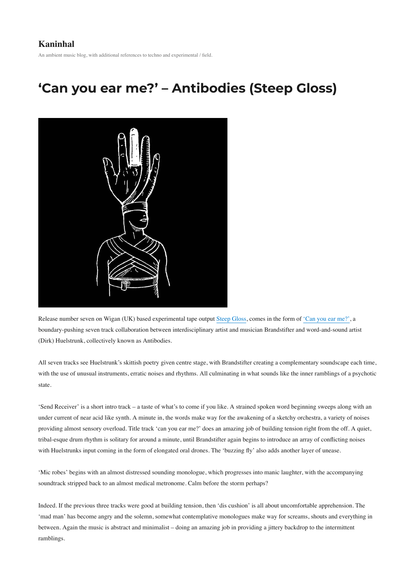## **[Kaninhal](https://www.kaninhal.com/)**

An ambient music blog, with additional references to techno and experimental / field.

## **'Can you ear me?' – Antibodies (Steep Gloss)**



Release number seven on Wigan (UK) based experimental tape output [Steep Gloss](https://steepgloss.bandcamp.com/), comes in the form of ['Can you ear me?',](https://steepgloss.bandcamp.com/album/can-you-ear-me) a boundary-pushing seven track collaboration between interdisciplinary artist and musician Brandstifter and word-and-sound artist (Dirk) Huelstrunk, collectively known as Antibodies.

All seven tracks see Huelstrunk's skittish poetry given centre stage, with Brandstifter creating a complementary soundscape each time, with the use of unusual instruments, erratic noises and rhythms. All culminating in what sounds like the inner ramblings of a psychotic state.

'Send Receiver' is a short intro track – a taste of what's to come if you like. A strained spoken word beginning sweeps along with an under current of near acid like synth. A minute in, the words make way for the awakening of a sketchy orchestra, a variety of noises providing almost sensory overload. Title track 'can you ear me?' does an amazing job of building tension right from the off. A quiet, tribal-esque drum rhythm is solitary for around a minute, until Brandstifter again begins to introduce an array of conflicting noises with Huelstrunks input coming in the form of elongated oral drones. The 'buzzing fly' also adds another layer of unease.

'Mic robes' begins with an almost distressed sounding monologue, which progresses into manic laughter, with the accompanying soundtrack stripped back to an almost medical metronome. Calm before the storm perhaps?

Indeed. If the previous three tracks were good at building tension, then 'dis cushion' is all about uncomfortable apprehension. The 'mad man' has become angry and the solemn, somewhat contemplative monologues make way for screams, shouts and everything in between. Again the music is abstract and minimalist – doing an amazing job in providing a jittery backdrop to the intermittent ramblings.